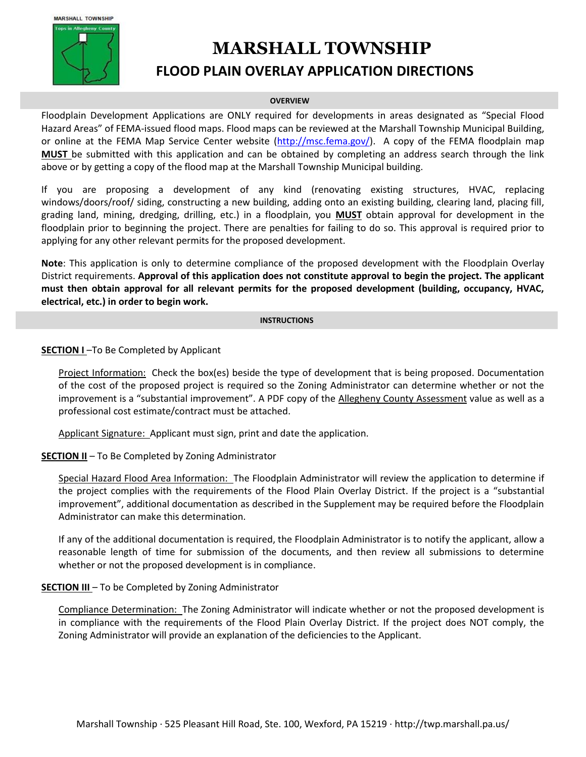

# **MARSHALL TOWNSHIP**

# **FLOOD PLAIN OVERLAY APPLICATION DIRECTIONS**

#### **OVERVIEW**

Floodplain Development Applications are ONLY required for developments in areas designated as "Special Flood Hazard Areas" of FEMA-issued flood maps. Flood maps can be reviewed at the Marshall Township Municipal Building, or online at the FEMA Map Service Center website [\(http://msc.fema.gov/\)](http://msc.fema.gov/). A copy of the FEMA floodplain map **MUST** be submitted with this application and can be obtained by completing an address search through the link above or by getting a copy of the flood map at the Marshall Township Municipal building.

If you are proposing a development of any kind (renovating existing structures, HVAC, replacing windows/doors/roof/ siding, constructing a new building, adding onto an existing building, clearing land, placing fill, grading land, mining, dredging, drilling, etc.) in a floodplain, you **MUST** obtain approval for development in the floodplain prior to beginning the project. There are penalties for failing to do so. This approval is required prior to applying for any other relevant permits for the proposed development.

**Note**: This application is only to determine compliance of the proposed development with the Floodplain Overlay District requirements. **Approval of this application does not constitute approval to begin the project. The applicant must then obtain approval for all relevant permits for the proposed development (building, occupancy, HVAC, electrical, etc.) in order to begin work.**

#### **INSTRUCTIONS**

### **SECTION I** –To Be Completed by Applicant

Project Information: Check the box(es) beside the type of development that is being proposed. Documentation of the cost of the proposed project is required so the Zoning Administrator can determine whether or not the improvement is a "substantial improvement". A PDF copy of the Allegheny County Assessment value as well as a professional cost estimate/contract must be attached.

Applicant Signature: Applicant must sign, print and date the application.

### **SECTION II** – To Be Completed by Zoning Administrator

Special Hazard Flood Area Information: The Floodplain Administrator will review the application to determine if the project complies with the requirements of the Flood Plain Overlay District. If the project is a "substantial improvement", additional documentation as described in the Supplement may be required before the Floodplain Administrator can make this determination.

If any of the additional documentation is required, the Floodplain Administrator is to notify the applicant, allow a reasonable length of time for submission of the documents, and then review all submissions to determine whether or not the proposed development is in compliance.

### **SECTION III** – To be Completed by Zoning Administrator

Compliance Determination: The Zoning Administrator will indicate whether or not the proposed development is in compliance with the requirements of the Flood Plain Overlay District. If the project does NOT comply, the Zoning Administrator will provide an explanation of the deficiencies to the Applicant.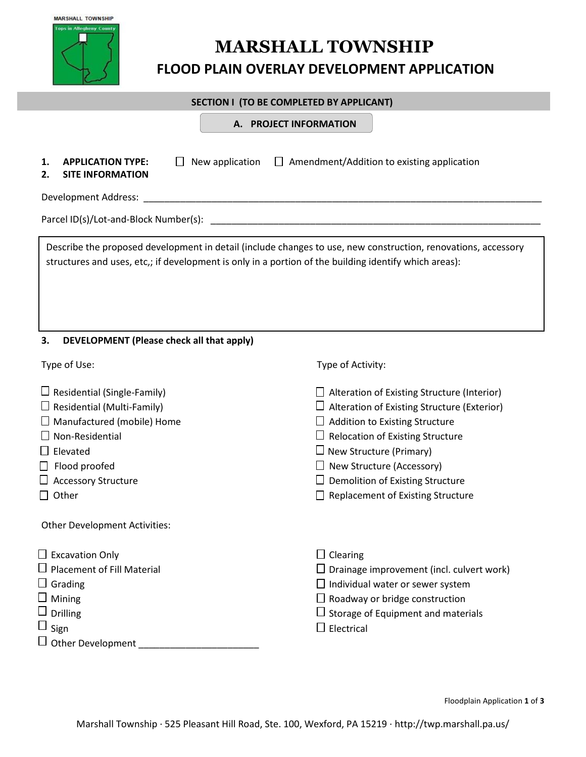| <b>MARSHALL TOWNSHIP</b>        |
|---------------------------------|
| <b>Tops in Allegheny County</b> |
|                                 |
|                                 |
|                                 |
|                                 |
|                                 |
|                                 |

# **FLOOD PLAIN OVERLAY DEVELOPMENT APPLICATION**

### **SECTION I (TO BE COMPLETED BY APPLICANT)**

**A. PROJECT INFORMATION A. PROJECT INFORMATION**

**2. SITE INFORMATION**

**1. APPLICATION TYPE:**  $\Box$  New application  $\Box$  Amendment/Addition to existing application

Development Address: \_\_\_\_\_\_\_\_\_\_\_\_\_\_\_\_\_\_\_\_\_\_\_\_\_\_\_\_\_\_\_\_\_\_\_\_\_\_\_\_\_\_\_\_\_\_\_\_\_\_\_\_\_\_\_\_\_\_\_\_\_\_\_\_\_\_\_\_\_\_\_\_\_\_\_\_

Parcel ID(s)/Lot-and-Block Number(s): \_\_\_\_\_\_\_\_\_\_\_\_\_\_\_\_\_\_\_\_\_\_\_\_\_\_\_\_\_\_\_\_\_\_\_\_\_\_\_\_\_\_\_\_\_\_\_\_\_\_\_\_\_\_\_\_\_\_\_\_\_\_\_

Describe the proposed development in detail (include changes to use, new construction, renovations, accessory structures and uses, etc,; if development is only in a portion of the building identify which areas):

### **3. DEVELOPMENT (Please check all that apply)**

| Type of Use:                                                                                                                                                                                                                         | Type of Activity:                                                                                                                                                                                                                                                                                               |
|--------------------------------------------------------------------------------------------------------------------------------------------------------------------------------------------------------------------------------------|-----------------------------------------------------------------------------------------------------------------------------------------------------------------------------------------------------------------------------------------------------------------------------------------------------------------|
| $\Box$ Residential (Single-Family)<br>$\Box$ Residential (Multi-Family)<br>$\Box$ Manufactured (mobile) Home<br>Non-Residential<br>Elevated<br>Flood proofed<br><b>Accessory Structure</b><br>Other<br>Other Development Activities: | Alteration of Existing Structure (Interior)<br>Alteration of Existing Structure (Exterior)<br>Addition to Existing Structure<br><b>Relocation of Existing Structure</b><br>New Structure (Primary)<br>New Structure (Accessory)<br>Demolition of Existing Structure<br><b>Replacement of Existing Structure</b> |
| $\Box$ Excavation Only<br>$\Box$ Placement of Fill Material<br>$\Box$ Grading<br>$\Box$ Mining<br>$\Box$ Drilling<br>$\Box$ Sign<br>$\Box$ Other Development                                                                         | $\Box$ Clearing<br>Drainage improvement (incl. culvert work)<br>Individual water or sewer system<br>Roadway or bridge construction<br>$\Box$ Storage of Equipment and materials<br>Electrical                                                                                                                   |

Floodplain Application **1** of **3**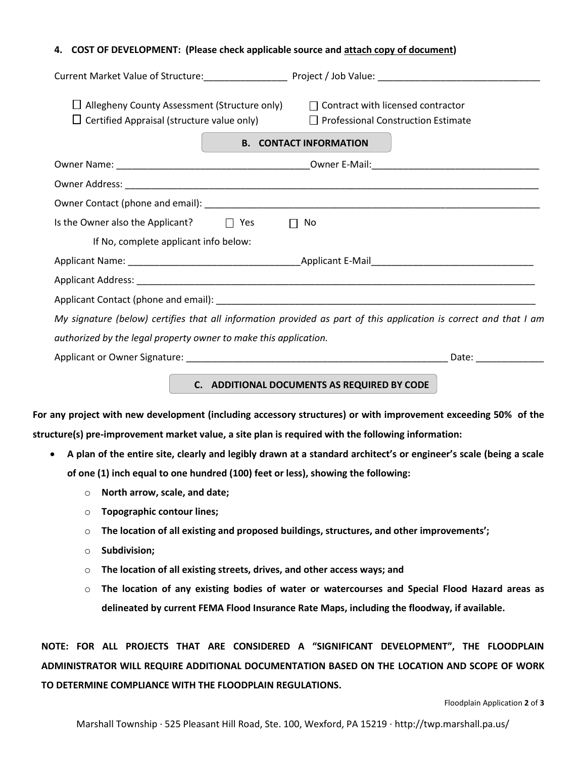### **4. COST OF DEVELOPMENT: (Please check applicable source and attach copy of document)**

| Allegheny County Assessment (Structure only) $\Box$ Contract with licensed contractor<br>Certified Appraisal (structure value only) $\Box$ Professional Construction Estimate | <b>B. CONTACT INFORMATION</b>                                                                                     |  |
|-------------------------------------------------------------------------------------------------------------------------------------------------------------------------------|-------------------------------------------------------------------------------------------------------------------|--|
|                                                                                                                                                                               |                                                                                                                   |  |
|                                                                                                                                                                               |                                                                                                                   |  |
|                                                                                                                                                                               |                                                                                                                   |  |
| Is the Owner also the Applicant? $\Box$ Yes<br>No<br>$\Box$                                                                                                                   |                                                                                                                   |  |
| If No, complete applicant info below:                                                                                                                                         |                                                                                                                   |  |
|                                                                                                                                                                               |                                                                                                                   |  |
|                                                                                                                                                                               |                                                                                                                   |  |
|                                                                                                                                                                               |                                                                                                                   |  |
|                                                                                                                                                                               | My signature (below) certifies that all information provided as part of this application is correct and that I am |  |
| authorized by the legal property owner to make this application.                                                                                                              |                                                                                                                   |  |
|                                                                                                                                                                               | Date: ________________                                                                                            |  |
|                                                                                                                                                                               |                                                                                                                   |  |

**C. ADDITIONAL DOCUMENTS AS REQUIRED BY CODE**

**For any project with new development (including accessory structures) or with improvement exceeding 50% of the structure(s) pre-improvement market value, a site plan is required with the following information:**

- **A plan of the entire site, clearly and legibly drawn at a standard architect's or engineer's scale (being a scale of one (1) inch equal to one hundred (100) feet or less), showing the following:** 
	- o **North arrow, scale, and date;**
	- o **Topographic contour lines;**
	- o **The location of all existing and proposed buildings, structures, and other improvements';**
	- o **Subdivision;**
	- o **The location of all existing streets, drives, and other access ways; and**
	- o **The location of any existing bodies of water or watercourses and Special Flood Hazard areas as delineated by current FEMA Flood Insurance Rate Maps, including the floodway, if available.**

**NOTE: FOR ALL PROJECTS THAT ARE CONSIDERED A "SIGNIFICANT DEVELOPMENT", THE FLOODPLAIN ADMINISTRATOR WILL REQUIRE ADDITIONAL DOCUMENTATION BASED ON THE LOCATION AND SCOPE OF WORK TO DETERMINE COMPLIANCE WITH THE FLOODPLAIN REGULATIONS.**

Floodplain Application **2** of **3**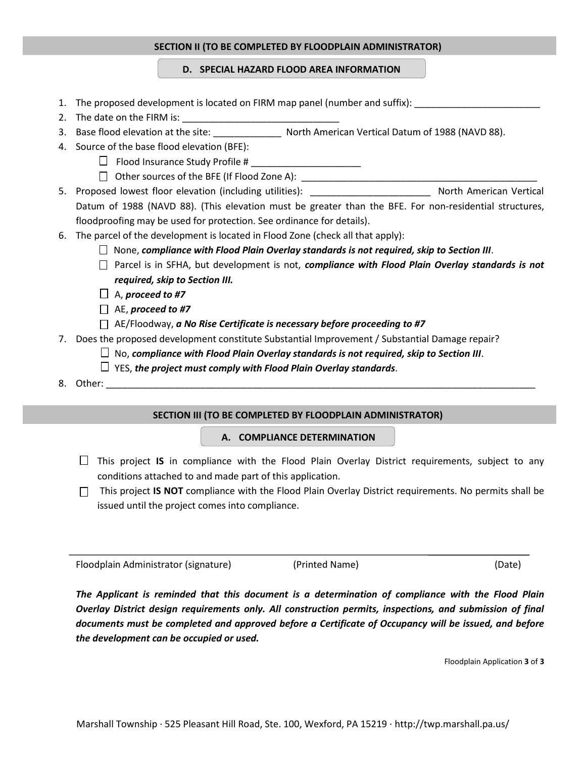### **SECTION II (TO BE COMPLETED BY FLOODPLAIN ADMINISTRATOR)**

**ECTION II (TO BE COMPLETED BY FLOODPLAIN ADMINISTRATOR) D. SPECIAL HAZARD FLOOD AREA INFORMATION**

- 1. The proposed development is located on FIRM map panel (number and suffix):
- 2. The date on the FIRM is:
- 3. Base flood elevation at the site: <br>
North American Vertical Datum of 1988 (NAVD 88).
- 4. Source of the base flood elevation (BFE):
	- $\Box$  Flood Insurance Study Profile #
	- □ Other sources of the BFE (If Flood Zone A): \_\_\_\_\_\_\_\_\_\_\_\_\_\_\_\_\_\_\_\_\_\_\_\_\_\_\_\_\_\_\_\_\_\_

5. Proposed lowest floor elevation (including utilities): \_\_\_\_\_\_\_\_\_\_\_\_\_\_\_\_\_\_\_\_\_\_\_ North American Vertical Datum of 1988 (NAVD 88). (This elevation must be greater than the BFE. For non-residential structures, floodproofing may be used for protection. See ordinance for details).

- 6. The parcel of the development is located in Flood Zone (check all that apply):
	- None, *compliance with Flood Plain Overlay standards is not required, skip to Section III*.
	- Parcel is in SFHA, but development is not, *compliance with Flood Plain Overlay standards is not required, skip to Section III.*
	- A, *proceed to #7*
	- AE, *proceed to #7*
	- AE/Floodway, *a No Rise Certificate is necessary before proceeding to #7*
- 7. Does the proposed development constitute Substantial Improvement / Substantial Damage repair?
	- $\Box$  No, compliance with Flood Plain Overlay standards is not required, skip to Section III.
	- YES, *the project must comply with Flood Plain Overlay standards*.
- 8. Other:

### **SECTION III (TO BE COMPLETED BY FLOODPLAIN ADMINISTRATOR)**

### **A. COMPLIANCE DETERMINATION**

- This project **IS** in compliance with the Flood Plain Overlay District requirements, subject to any conditions attached to and made part of this application.
- $\Box$  This project **IS NOT** compliance with the Flood Plain Overlay District requirements. No permits shall be issued until the project comes into compliance.

Floodplain Administrator (signature) (Printed Name) (Date)

*The Applicant is reminded that this document is a determination of compliance with the Flood Plain Overlay District design requirements only. All construction permits, inspections, and submission of final documents must be completed and approved before a Certificate of Occupancy will be issued, and before the development can be occupied or used.*

Floodplain Application **3** of **3**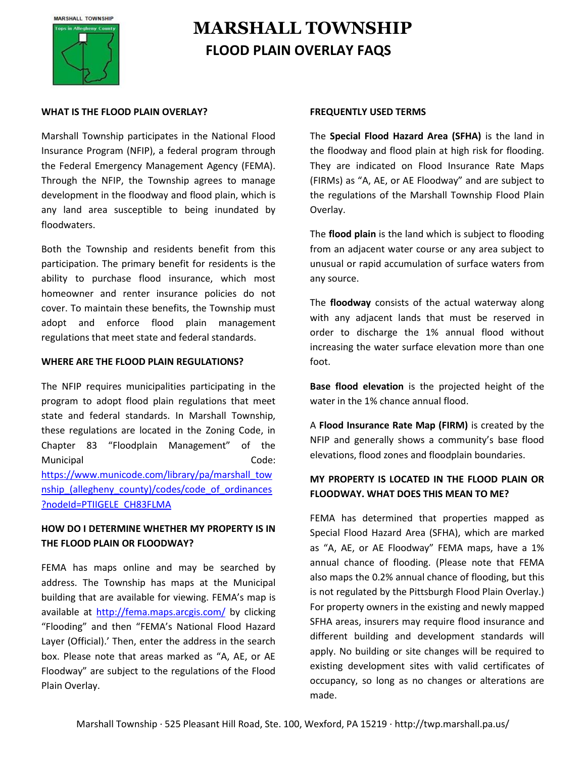# **MARSHALL TOWNSHIP FLOOD PLAIN OVERLAY FAQS**

### **WHAT IS THE FLOOD PLAIN OVERLAY?**

Marshall Township participates in the National Flood Insurance Program (NFIP), a federal program through the Federal Emergency Management Agency (FEMA). Through the NFIP, the Township agrees to manage development in the floodway and flood plain, which is any land area susceptible to being inundated by floodwaters.

Both the Township and residents benefit from this participation. The primary benefit for residents is the ability to purchase flood insurance, which most homeowner and renter insurance policies do not cover. To maintain these benefits, the Township must adopt and enforce flood plain management regulations that meet state and federal standards.

### **WHERE ARE THE FLOOD PLAIN REGULATIONS?**

The NFIP requires municipalities participating in the program to adopt flood plain regulations that meet state and federal standards. In Marshall Township, these regulations are located in the Zoning Code, in Chapter 83 "Floodplain Management" of the Municipal Code: [https://www.municode.com/library/pa/marshall\\_tow](https://www.municode.com/library/pa/marshall_township_(allegheny_county)/codes/code_of_ordinances?nodeId=PTIIGELE_CH83FLMA) nship (allegheny county)/codes/code of ordinances [?nodeId=PTIIGELE\\_CH83FLMA](https://www.municode.com/library/pa/marshall_township_(allegheny_county)/codes/code_of_ordinances?nodeId=PTIIGELE_CH83FLMA)

### **HOW DO I DETERMINE WHETHER MY PROPERTY IS IN THE FLOOD PLAIN OR FLOODWAY?**

FEMA has maps online and may be searched by address. The Township has maps at the Municipal building that are available for viewing. FEMA's map is available at<http://fema.maps.arcgis.com/> by clicking "Flooding" and then "FEMA's National Flood Hazard Layer (Official).' Then, enter the address in the search box. Please note that areas marked as "A, AE, or AE Floodway" are subject to the regulations of the Flood Plain Overlay.

### **FREQUENTLY USED TERMS**

The **Special Flood Hazard Area (SFHA)** is the land in the floodway and flood plain at high risk for flooding. They are indicated on Flood Insurance Rate Maps (FIRMs) as "A, AE, or AE Floodway" and are subject to the regulations of the Marshall Township Flood Plain Overlay.

The **flood plain** is the land which is subject to flooding from an adjacent water course or any area subject to unusual or rapid accumulation of surface waters from any source.

The **floodway** consists of the actual waterway along with any adjacent lands that must be reserved in order to discharge the 1% annual flood without increasing the water surface elevation more than one foot.

**Base flood elevation** is the projected height of the water in the 1% chance annual flood.

A **Flood Insurance Rate Map (FIRM)** is created by the NFIP and generally shows a community's base flood elevations, flood zones and floodplain boundaries.

## **MY PROPERTY IS LOCATED IN THE FLOOD PLAIN OR FLOODWAY. WHAT DOES THIS MEAN TO ME?**

FEMA has determined that properties mapped as Special Flood Hazard Area (SFHA), which are marked as "A, AE, or AE Floodway" FEMA maps, have a 1% annual chance of flooding. (Please note that FEMA also maps the 0.2% annual chance of flooding, but this is not regulated by the Pittsburgh Flood Plain Overlay.) For property owners in the existing and newly mapped SFHA areas, insurers may require flood insurance and different building and development standards will apply. No building or site changes will be required to existing development sites with valid certificates of occupancy, so long as no changes or alterations are made.